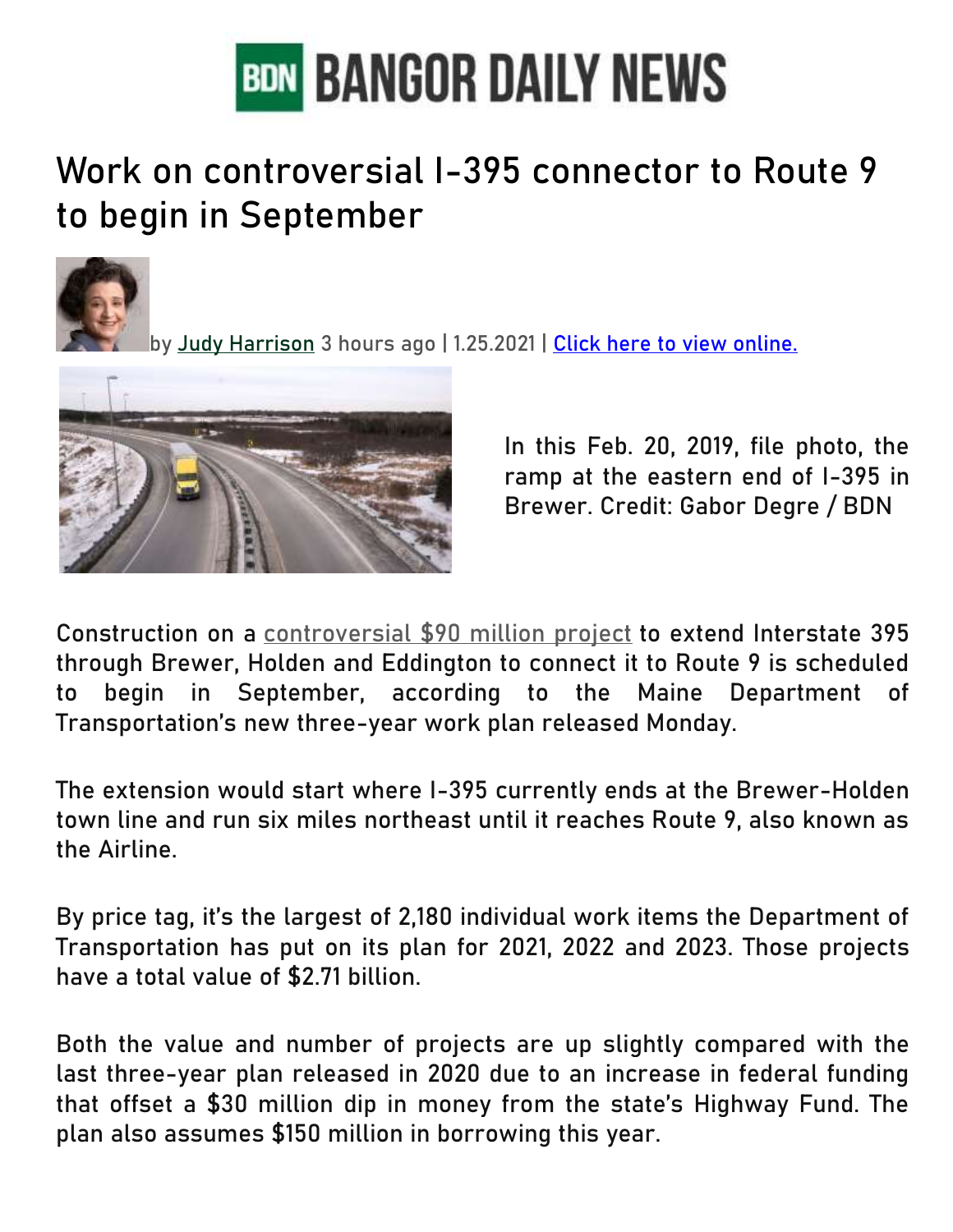

## Work on controversial I-395 connector to Route 9 to begin in September



by [Judy Harrison](https://bangordailynews.com/author/judy-harrison/) 3 hours ago | 1.25.2021 | [Click here to view online.](https://bangordailynews.com/2021/01/25/news/bangor/work-on-controversial-i-395-connector-to-route-9-to-begin-in-september-dot-says/)



In this Feb. 20, 2019, file photo, the ramp at the eastern end of I-395 in Brewer. Credit: Gabor Degre / BDN

Construction on a [controversial \\$90 million project](https://bangordailynews.com/2019/02/25/news/bangor/debate-rages-on-as-state-readies-to-break-ground-on-i-395-connector/) to extend Interstate 395 through Brewer, Holden and Eddington to connect it to Route 9 is scheduled to begin in September, according to the Maine Department of Transportation's new three-year work plan released Monday.

The extension would start where I-395 currently ends at the Brewer-Holden town line and run six miles northeast until it reaches Route 9, also known as the Airline.

By price tag, it's the largest of 2,180 individual work items the Department of Transportation has put on its plan for 2021, 2022 and 2023. Those projects have a total value of \$2.71 billion.

Both the value and number of projects are up slightly compared with the last three-year plan released in 2020 due to an increase in federal funding that offset a \$30 million dip in money from the state's Highway Fund. The plan also assumes \$150 million in borrowing this year.